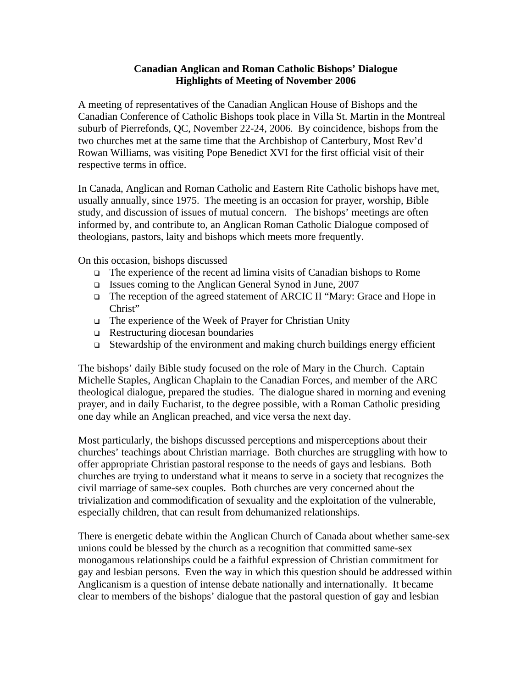## **Canadian Anglican and Roman Catholic Bishops' Dialogue Highlights of Meeting of November 2006**

A meeting of representatives of the Canadian Anglican House of Bishops and the Canadian Conference of Catholic Bishops took place in Villa St. Martin in the Montreal suburb of Pierrefonds, QC, November 22-24, 2006. By coincidence, bishops from the two churches met at the same time that the Archbishop of Canterbury, Most Rev'd Rowan Williams, was visiting Pope Benedict XVI for the first official visit of their respective terms in office.

In Canada, Anglican and Roman Catholic and Eastern Rite Catholic bishops have met, usually annually, since 1975. The meeting is an occasion for prayer, worship, Bible study, and discussion of issues of mutual concern. The bishops' meetings are often informed by, and contribute to, an Anglican Roman Catholic Dialogue composed of theologians, pastors, laity and bishops which meets more frequently.

On this occasion, bishops discussed

- $\Box$  The experience of the recent ad limina visits of Canadian bishops to Rome
- Issues coming to the Anglican General Synod in June, 2007
- The reception of the agreed statement of ARCIC II "Mary: Grace and Hope in Christ"
- $\Box$  The experience of the Week of Prayer for Christian Unity
- Restructuring diocesan boundaries
- Stewardship of the environment and making church buildings energy efficient

The bishops' daily Bible study focused on the role of Mary in the Church. Captain Michelle Staples, Anglican Chaplain to the Canadian Forces, and member of the ARC theological dialogue, prepared the studies. The dialogue shared in morning and evening prayer, and in daily Eucharist, to the degree possible, with a Roman Catholic presiding one day while an Anglican preached, and vice versa the next day.

Most particularly, the bishops discussed perceptions and misperceptions about their churches' teachings about Christian marriage. Both churches are struggling with how to offer appropriate Christian pastoral response to the needs of gays and lesbians. Both churches are trying to understand what it means to serve in a society that recognizes the civil marriage of same-sex couples. Both churches are very concerned about the trivialization and commodification of sexuality and the exploitation of the vulnerable, especially children, that can result from dehumanized relationships.

There is energetic debate within the Anglican Church of Canada about whether same-sex unions could be blessed by the church as a recognition that committed same-sex monogamous relationships could be a faithful expression of Christian commitment for gay and lesbian persons. Even the way in which this question should be addressed within Anglicanism is a question of intense debate nationally and internationally. It became clear to members of the bishops' dialogue that the pastoral question of gay and lesbian